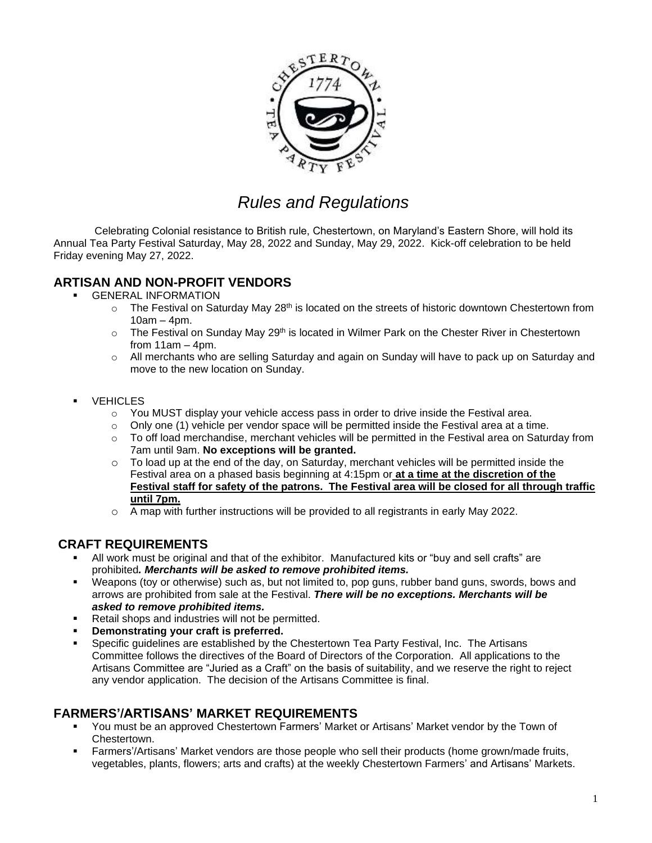

# *Rules and Regulations*

Celebrating Colonial resistance to British rule, Chestertown, on Maryland's Eastern Shore, will hold its Annual Tea Party Festival Saturday, May 28, 2022 and Sunday, May 29, 2022. Kick-off celebration to be held Friday evening May 27, 2022.

# **ARTISAN AND NON-PROFIT VENDORS**

- **GENERAL INFORMATION** 
	- $\circ$  The Festival on Saturday May 28<sup>th</sup> is located on the streets of historic downtown Chestertown from  $10am - 4pm.$
	- $\circ$  The Festival on Sunday May 29<sup>th</sup> is located in Wilmer Park on the Chester River in Chestertown from  $11am - 4pm$ .
	- $\circ$  All merchants who are selling Saturday and again on Sunday will have to pack up on Saturday and move to the new location on Sunday.
- VEHICLES
	- $\circ$  You MUST display your vehicle access pass in order to drive inside the Festival area.
	- $\circ$  Only one (1) vehicle per vendor space will be permitted inside the Festival area at a time.
	- $\circ$  To off load merchandise, merchant vehicles will be permitted in the Festival area on Saturday from 7am until 9am. **No exceptions will be granted.**
	- $\circ$  To load up at the end of the day, on Saturday, merchant vehicles will be permitted inside the Festival area on a phased basis beginning at 4:15pm or **at a time at the discretion of the Festival staff for safety of the patrons. The Festival area will be closed for all through traffic until 7pm.**
	- $\circ$  A map with further instructions will be provided to all registrants in early May 2022.

#### **CRAFT REQUIREMENTS**

- All work must be original and that of the exhibitor. Manufactured kits or "buy and sell crafts" are prohibited*. Merchants will be asked to remove prohibited items.*
- Weapons (toy or otherwise) such as, but not limited to, pop guns, rubber band guns, swords, bows and arrows are prohibited from sale at the Festival. *There will be no exceptions. Merchants will be asked to remove prohibited items.*
- Retail shops and industries will not be permitted.
- **Demonstrating your craft is preferred.**
- Specific guidelines are established by the Chestertown Tea Party Festival, Inc. The Artisans Committee follows the directives of the Board of Directors of the Corporation. All applications to the Artisans Committee are "Juried as a Craft" on the basis of suitability, and we reserve the right to reject any vendor application. The decision of the Artisans Committee is final.

### **FARMERS'/ARTISANS' MARKET REQUIREMENTS**

- You must be an approved Chestertown Farmers' Market or Artisans' Market vendor by the Town of Chestertown.
- Farmers'/Artisans' Market vendors are those people who sell their products (home grown/made fruits, vegetables, plants, flowers; arts and crafts) at the weekly Chestertown Farmers' and Artisans' Markets.